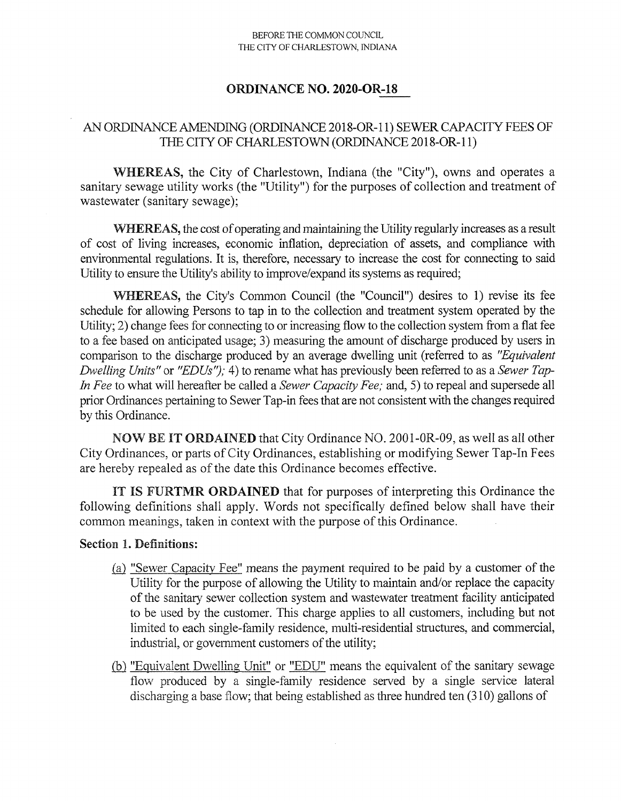#### BEFORE THE COMMON COUNCIL THE CITY OF CHARLESTOWN, INDIANA

## **ORDINANCE NO. 2020-OR-18**

## AN ORDINANCE AMENDING (ORDINANCE 2018-OR-11) SEWER CAPACITY FEES OF THE CITY OF CHARLESTOWN (ORDINANCE 2018-OR-11)

**WHEREAS,** the City of Charlestown, Indiana (the "City"), owns and operates a sanitary sewage utility works (the "Utility") for the purposes of collection and treatment of wastewater (sanitary sewage);

WHEREAS, the cost of operating and maintaining the Utility regularly increases as a result of cost of living increases, economic inflation, depreciation of assets, and compliance with environmental regulations. It is, therefore, necessary to increase the cost for connecting to said Utility to ensure the Utility's ability to improve/expand its systems as required;

**WHEREAS,** the City's Common Council (the "Council") desires to 1) revise its fee schedule for allowing Persons to tap in to the collection and treatment system operated by the Utility; 2) change fees for connecting to or increasing flow to the collection system from a flat fee to a fee based on anticipated usage; 3) measuring the amount of discharge produced by users in comparison to the discharge produced by an average dwelling unit (referred to as *"Equivalent Dwelling Units"* or *"EDUs");* 4) to rename what has previously been referred to as a *Sewer Tap-In Fee* to what will hereafter be called a *Sewer Capacity Fee;* and, 5) to repeal and supersede all prior Ordinances pertaining to Sewer Tap-in fees that are not consistent with the changes required by this Ordinance.

**NOW BE IT ORDAINED** that City Ordinance NO. **2001-0R-09,** as well as all other City Ordinances, or parts of City Ordinances, establishing or modifying Sewer Tap-In Fees are hereby repealed as of the date this Ordinance becomes effective.

**IT IS FURTMR ORDAINED** that for purposes of interpreting this Ordinance the following definitions shall apply. Words not specifically defined below shall have their common meanings, taken in context with the purpose of this Ordinance.

### **Section** 1. Definitions:

- (a) "Sewer Capacity Fee" means the payment required to be paid by a customer of the Utility for the purpose of allowing the Utility to maintain and/or replace the capacity of the sanitary sewer collection system and wastewater treatment facility anticipated to be used by the customer. This charge applies to all customers, including but not limited to each single-family residence, multi-residential structures, and commercial, industrial, or government customers of the utility;
- (b) "Equivalent Dwelling Unit" or "EDU" means the equivalent of the sanitary sewage flow produced by a single-family residence served by a single service lateral discharging a base flow; that being established as three hundred ten (310) gallons of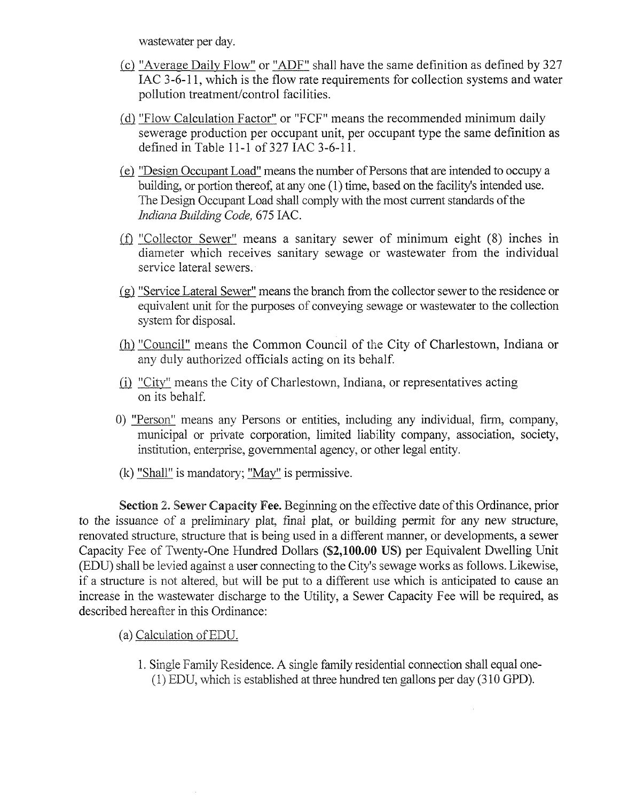wastewater per day.

- {c} "Average Daily Flow" or "ADF" shall have the same definition as defined by 327 lAC 3-6-11, which is the flow rate requirements for collection systems and water pollution treatment/control facilities.
- (d) "Flow Calculation Factor" or "FCF" means the recommended minimum daily sewerage production per occupant unit, per occupant type the same definition as defined in Table 11-1 of 327 lAC 3-6-11.
- (e) "Design Occupant Load" means the number ofPersons that are intended to occupy a building, or portion thereof, at any one (1) time, based on the facility's intended use. The Design Occupant Load shall comply with the most current standards of the *Indiana Building Code,* 675 lAC.
- (f) "Collector Sewer" means a sanitary sewer of minimum eight  $(8)$  inches in diameter which receives sanitary sewage or wastewater from the individual service lateral sewers.
- (g) "Service Lateral Sewer" means the branch from the collector sewerto the residence or equivalent unit for the purposes of conveying sewage or wastewater to the collection system for disposal.
- {h} "Council" means the Common Council of the City of Charlestown, Indiana or any duly authorized officials acting on its behalf
- (i) "City" means the City of Charlestown, Indiana, or representatives acting on its behalf
- 0) "Person" means any Persons or entities, including any individual, firm, company, municipal or private corporation, limited liability company, association, society, institution, enterprise, governmental agency, or other legal entity.
- (k) "Shall" is mandatory; "May" is permissive.

Section 2. Sewer Capacity Fee. Beginning on the effective date of this Ordinance, prior to the issuance of a preliminary plat, final plat, or building permit for any new structure, renovated stmcture, structure that is being used in a different manner, or developments, a sewer Capacity Fee of Twenty-One Hundred Dollars (\$2,100.00 US) per Equivalent Dwelling Unit (EDU) shall be levied against a user connecting to the City's sewage works as follows. Likewise, if a structure is not altered, but will be put to a different use which is anticipated to cause an increase in the wastewater discharge to the Utility, a Sewer Capacity Fee will be required, as described hereafter in this Ordinance:

- (a) Calculation ofEDU.
	- 1. Single Family Residence. A single family residential connection shall equal one- (1) EDU, which is established at three hundred ten gallons per day (310 GPD).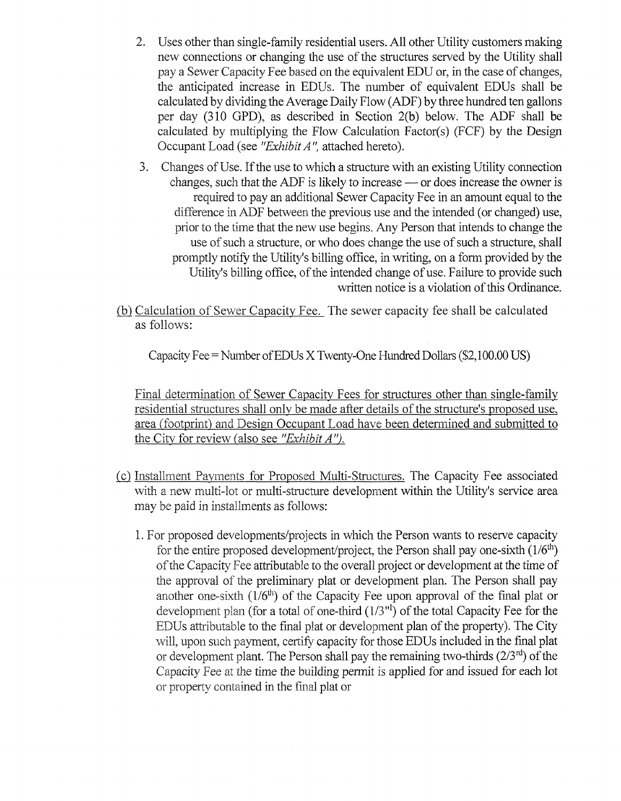- 2. Uses other than single-family residential users. All other Utility customers making new connections or changing the use of the structures served by the Utility shall pay a Sewer Capacity Fee based on the equivalent EDU or, in the case of changes, the anticipated increase in EDUs. The number of equivalent EDUs shall be calculated by dividing the Average Daily Flow (ADF) by three hundred ten gallons per day (310 GPD), as described in Section 2(b) below. The ADF shall be calculated by multiplying the Flow Calculation Factor(s) (FCF) by the Design Occupant Load (see *"ExhibitA",* attached hereto).
- 3. Changes of Use. If the use to which a structure with an existing Utility connection changes, such that the ADF is likely to increase —or does increase the owner is required to pay an additional Sewer Capacity Fee in an amount equal to the difference in ADF between the previous use and the intended (or changed) use, prior to die time that the new use begins. Any Person that intends to change the use of such a structure, or who does change the use of such a structure, shall promptly notify the Utility's billing office, in writing, on a fonn provided by the Utility's billing office, of the intended change of use. Failure to provide such written notice is a violation of this Ordinance.

(b) Calculation of Sewer Capacity Fee. The sewer capacity fee shall be calculated as follows:

Capacity Fee  $=$  Number of EDUs X Twenty-One Hundred Dollars (\$2,100.00 US)

Final determination of Sewer Capacity Fees for structures other than single-family residential structures shall only be made after details of the structure's proposed use. area (footprint) and Design Occupant Load have been determined and submitted to the City for review (also see *"ExhibitA").*

- (c) Installment Payments for Proposed Multi-Structures. The Capacity Fee associated with a new multi-lot or multi-structure development within the Utility's service area may be paid in installments as follows:
	- 1. For proposed developments/projects in which the Person wants to reserve capacity for the entire proposed development/project, the Person shall pay one-sixth  $(1/6<sup>th</sup>)$ ofthe Capacity Fee attributable to the overall project or development at the time of the approval of the preliminary plat or development plan. The Person shall pay another one-sixth  $(1/6<sup>th</sup>)$  of the Capacity Fee upon approval of the final plat or development plan (for a total of one-third  $(1/3<sup>nt</sup>)$  of the total Capacity Fee for the EDUs attributable to the final plat or development plan of the property). The City will, upon such payment, certify capacity for those EDUs included in the final plat or development plant. The Person shall pay the remaining two-thirds  $(2/3^{rd})$  of the Capacity Fee at the time the building permit is applied for and issued for each lot or property contained in the final plat or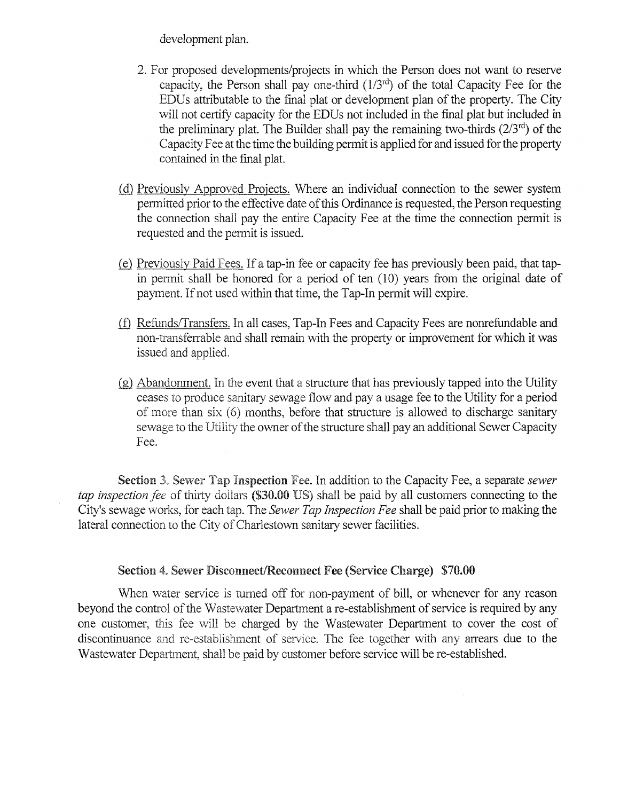development plan.

- 2. For proposed developments/projects in which the Person does not want to reserve capacity, the Person shall pay one-third  $(1/3<sup>rd</sup>)$  of the total Capacity Fee for the EDUs attributable to the final plat or development plan of the property. The City will not certify capacity for the EDUs not included in the final plat but included in the preliminary plat. The Builder shall pay the remaining two-thirds  $(2/3<sup>rd</sup>)$  of the Capacity Fee at the time the building permit is applied for and issued for the property contained in the final plat.
- (d) Previously Approved Projects. Where an individual connection to the sewer system permitted prior to the effective date of this Ordinance is requested, the Person requesting the connection shall pay the entire Capacity Fee at the time the connection permit is requested and the permit is issued.
- (e) Previously Paid Fees. Ifa tap-in fee or capacity fee has previously been paid, that tapin permit shall be honored for a period of ten (10) years from the original date of payment. If not used within that time, the Tap-In permit will expire.
- (D Refunds/Transfers. In all cases, Tap-In Fees and Capacity Fees are nonrefundable and non-transferrable and shall remain with the property or improvement for which it was issued and applied.
- (g) Abandonment. In the event that a structure that has previously tapped into the Utility ceases to produce sanitary sewage flow and pay a usage fee to the Utility for a period of more than six (6) months, before that structure is allowed to discharge sanitary sewage to the Utility the owner of the structure shall pay an additional Sewer Capacity Fee.

Section 3. Sewer Tap Inspection Fee. In addition to the Capacity Fee, a separate *sewer tap inspection fee* of thirty dollars (\$30.00 US) shall be paid by all customers connecting to the City's sewage works, for each tap. The *Sewer Tap Inspection Fee* shall be paid priorto making the lateral connection to the City of Charlestown sanitary sewer facilities.

## Section 4. Sewer Disconnect/Reconnect Fee (Service Charge) \$70.00

When water service is turned off for non-payment of bill, or whenever for any reason beyond the control of the Wastewater Department a re-establishment of service is required by any one customer, this fee will be charged by the Wastewater Department to cover the cost of discontinuance and re-establishment of service. The fee together with any anears due to the Wastewater Department, shall be paid by customer before service will be re-established.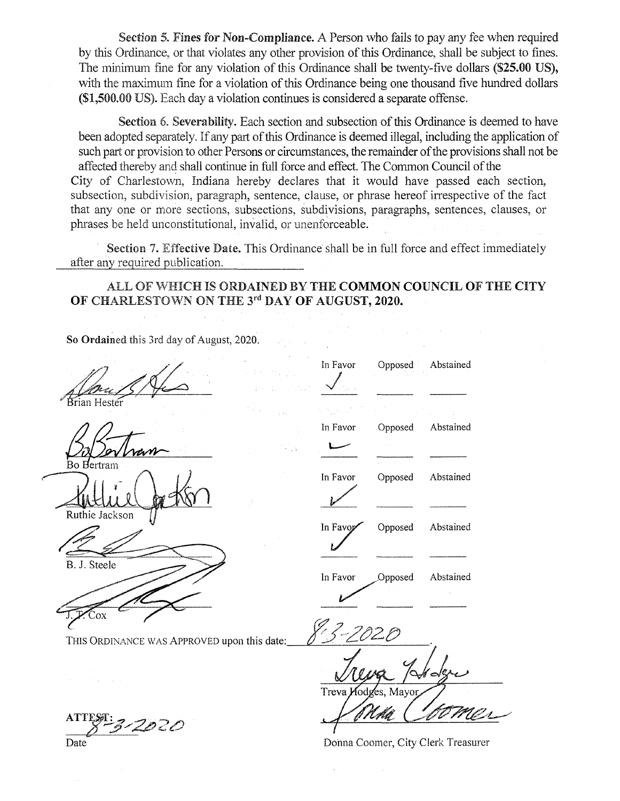Section 5. **Fines for Non-Compliance.** A Person who fails to pay any fee when required by this Ordinance, or that violates any other provision of this Ordinance, shall be subject to fines. The minimum fine for any violation of this Ordinance shall be twenty-five dollars (\$25.00 US), with the maximum fine for a violation of this Ordinance being one thousand five hundred dollars (\$1,500.00 US). Each day a violation continues is considered a separate offense.

Section 6. Severability. Each section and subsection of this Ordinance is deemed to have been adopted separately. If any part of this Ordinance is deemed illegal, including the application of such part or provision to other Persons or circumstances, the remainder of the provisions shall not be affected thereby and shall continue in full force and effect. The Common Council of the City of Charlestown, Indiana hereby declares that it would have passed each section, subsection, subdivision, paragraph, sentence, clause, or phrase hereof irrespective of the fact that any one or more sections, subsections, subdivisions, paragraphs, sentences, clauses, or phrases be held unconstitutional, invalid, or unenforceable.

Section 7. Effective Date. This Ordinance shall be in full force and effect immediately after any required publication.

ALL OF WHICH IS ORDAINED BY THE COMMON COUNCIL OF THE CITY OF CHARLESTOWN ON THE 3rd DAY OF AUGUST, 2020.

In Favor

So Ordained this 3rd day of August, 2020.

ian Hestei

ʻоx

**Bo Hertram** 

Ruthie Jackson

B. J. Steele

In Favor Opposed Abstained In Favor Opposed Abstained In Favor Opposed Abstained In Favor Opposed Abstained

Opposed

Abstained

Treva

Donna Coomer, City Clerk Treasurer

THIS ORDINANCE WAS APPROVED upon this date:

ATTEST: 3-2020

Date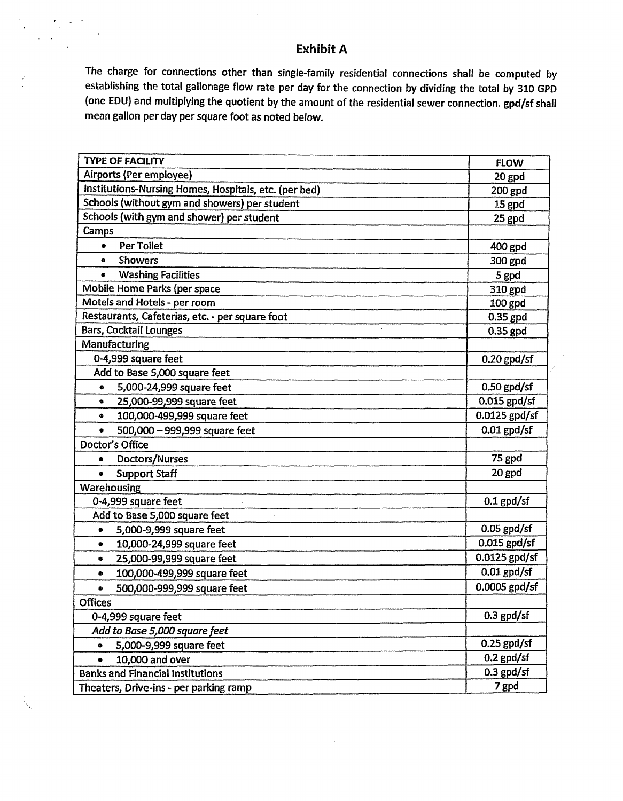# **Exhibit A**

The charge for connections other than single-family residential connections shall be computed by establishing the total gallonage flow rate per day for the connection by dividing the total by 310 GPD (one EDU) and multiplying the quotient by the amount of the residential sewer connection. gpd/sf shall mean gallon per day per square foot as noted below.

| <b>TYPE OF FACILITY</b>                               | <b>FLOW</b>    |
|-------------------------------------------------------|----------------|
| Airports (Per employee)                               | 20 gpd         |
| Institutions-Nursing Homes, Hospitals, etc. (per bed) | 200 gpd        |
| Schools (without gym and showers) per student         | 15 gpd         |
| Schools (with gym and shower) per student             | 25 gpd         |
| Camps                                                 |                |
| <b>Per Toilet</b><br>٠                                | 400 gpd        |
| <b>Showers</b><br>$\bullet$                           | 300 gpd        |
| <b>Washing Facilities</b><br>$\bullet$                | 5 gpd          |
| Mobile Home Parks (per space                          | 310 gpd        |
| Motels and Hotels - per room                          | 100 gpd        |
| Restaurants, Cafeterias, etc. - per square foot       | 0.35 gpd       |
| <b>Bars, Cocktail Lounges</b>                         | 0.35 gpd       |
| Manufacturing                                         |                |
| 0-4,999 square feet                                   | $0.20$ gpd/sf  |
| Add to Base 5,000 square feet                         |                |
| 5,000-24,999 square feet<br>$\bullet$                 | $0.50$ gpd/sf  |
| 25,000-99,999 square feet<br>$\bullet$                | $0.015$ gpd/sf |
| 100,000-499,999 square feet<br>۰                      | 0.0125 gpd/sf  |
| 500,000 - 999,999 square feet<br>٠                    | $0.01$ gpd/sf  |
| Doctor's Office                                       |                |
| Doctors/Nurses<br>٠                                   | 75 gpd         |
| <b>Support Staff</b><br>۰                             | 20 gpd         |
| Warehousing                                           |                |
| 0-4,999 square feet                                   | $0.1$ gpd/sf   |
| Add to Base 5,000 square feet                         |                |
| 5,000-9,999 square feet<br>۰                          | $0.05$ gpd/sf  |
| 10,000-24,999 square feet<br>$\bullet$                | $0.015$ gpd/sf |
| 25,000-99,999 square feet<br>$\bullet$                | 0.0125 gpd/sf  |
| 100,000-499,999 square feet<br>۰                      | $0.01$ gpd/sf  |
| 500,000-999,999 square feet<br>۰                      | 0.0005 gpd/sf  |
| <b>Offices</b>                                        |                |
| 0-4,999 square feet                                   | $0.3$ gpd/sf   |
| Add to Base 5,000 square feet                         |                |
| 5,000-9,999 square feet<br>٠                          | $0.25$ gpd/sf  |
| 10,000 and over<br>$\bullet$                          | $0.2$ gpd/sf   |
| <b>Banks and Financial Institutions</b>               | $0.3$ gpd/sf   |
| Theaters, Drive-ins - per parking ramp                | 7 gpd          |